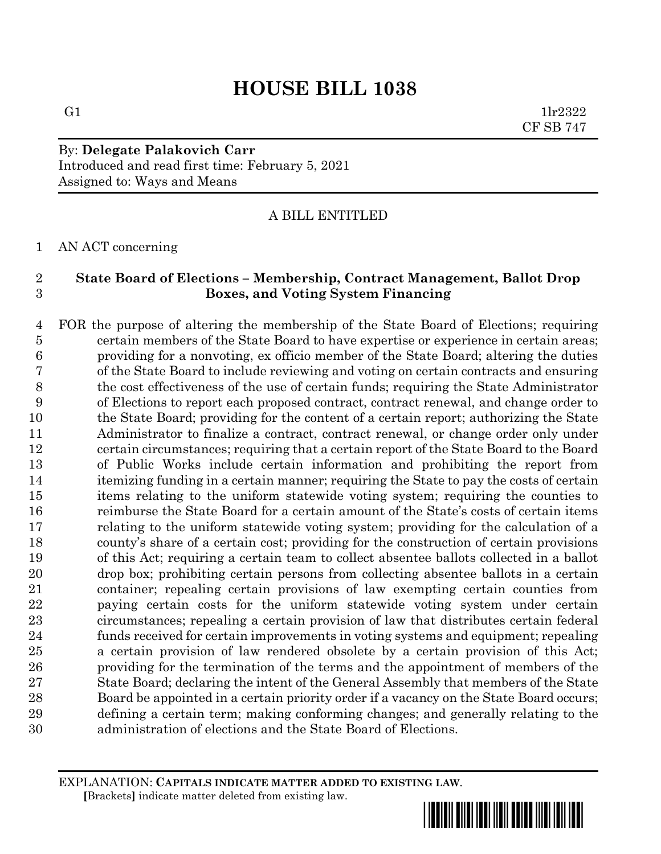# **HOUSE BILL 1038**

G1  $1\text{lr}2322$ CF SB 747

# By: **Delegate Palakovich Carr** Introduced and read first time: February 5, 2021 Assigned to: Ways and Means

### A BILL ENTITLED

AN ACT concerning

# **State Board of Elections – Membership, Contract Management, Ballot Drop Boxes, and Voting System Financing**

 FOR the purpose of altering the membership of the State Board of Elections; requiring certain members of the State Board to have expertise or experience in certain areas; providing for a nonvoting, ex officio member of the State Board; altering the duties of the State Board to include reviewing and voting on certain contracts and ensuring the cost effectiveness of the use of certain funds; requiring the State Administrator of Elections to report each proposed contract, contract renewal, and change order to the State Board; providing for the content of a certain report; authorizing the State Administrator to finalize a contract, contract renewal, or change order only under certain circumstances; requiring that a certain report of the State Board to the Board of Public Works include certain information and prohibiting the report from itemizing funding in a certain manner; requiring the State to pay the costs of certain items relating to the uniform statewide voting system; requiring the counties to reimburse the State Board for a certain amount of the State's costs of certain items relating to the uniform statewide voting system; providing for the calculation of a county's share of a certain cost; providing for the construction of certain provisions of this Act; requiring a certain team to collect absentee ballots collected in a ballot drop box; prohibiting certain persons from collecting absentee ballots in a certain container; repealing certain provisions of law exempting certain counties from paying certain costs for the uniform statewide voting system under certain circumstances; repealing a certain provision of law that distributes certain federal funds received for certain improvements in voting systems and equipment; repealing a certain provision of law rendered obsolete by a certain provision of this Act; providing for the termination of the terms and the appointment of members of the State Board; declaring the intent of the General Assembly that members of the State 28 Board be appointed in a certain priority order if a vacancy on the State Board occurs; defining a certain term; making conforming changes; and generally relating to the administration of elections and the State Board of Elections.

#### EXPLANATION: **CAPITALS INDICATE MATTER ADDED TO EXISTING LAW**.  **[**Brackets**]** indicate matter deleted from existing law.

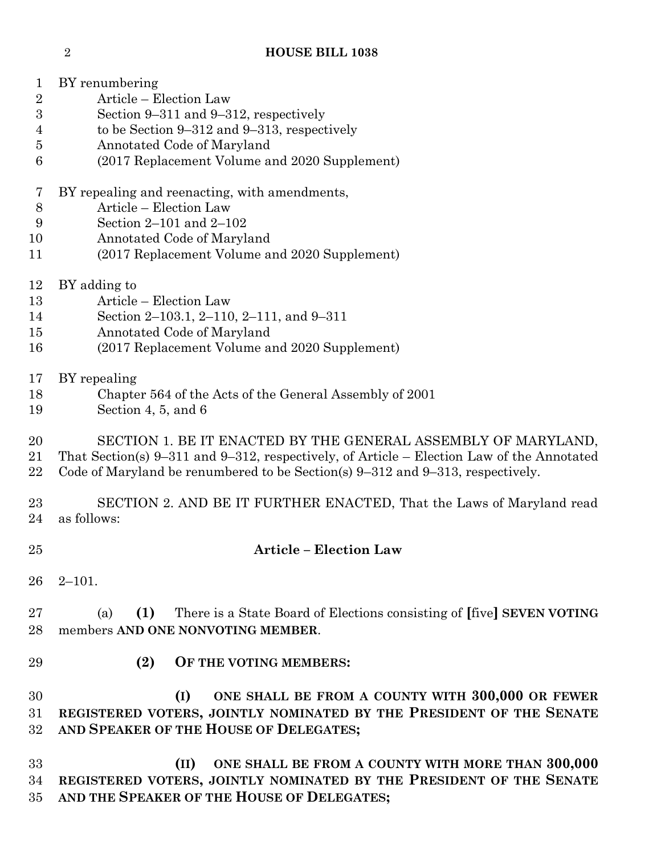| $\mathbf{1}$     | BY renumbering                                                                            |  |  |
|------------------|-------------------------------------------------------------------------------------------|--|--|
| $\boldsymbol{2}$ | Article - Election Law                                                                    |  |  |
| $\sqrt{3}$       | Section 9-311 and 9-312, respectively                                                     |  |  |
| 4                | to be Section $9-312$ and $9-313$ , respectively                                          |  |  |
| $\overline{5}$   | Annotated Code of Maryland                                                                |  |  |
| 6                | (2017 Replacement Volume and 2020 Supplement)                                             |  |  |
|                  |                                                                                           |  |  |
| 7                | BY repealing and reenacting, with amendments,                                             |  |  |
| 8                | Article - Election Law                                                                    |  |  |
| 9                | Section $2-101$ and $2-102$                                                               |  |  |
| 10               | Annotated Code of Maryland                                                                |  |  |
| 11               | (2017 Replacement Volume and 2020 Supplement)                                             |  |  |
|                  |                                                                                           |  |  |
| 12               |                                                                                           |  |  |
| 13               | BY adding to<br>Article - Election Law                                                    |  |  |
| 14               |                                                                                           |  |  |
| 15               | Section 2-103.1, 2-110, 2-111, and 9-311                                                  |  |  |
|                  | Annotated Code of Maryland                                                                |  |  |
| 16               | (2017 Replacement Volume and 2020 Supplement)                                             |  |  |
| 17               |                                                                                           |  |  |
| 18               | BY repealing                                                                              |  |  |
|                  | Chapter 564 of the Acts of the General Assembly of 2001                                   |  |  |
| 19               | Section 4, 5, and $6$                                                                     |  |  |
|                  |                                                                                           |  |  |
| 20               | SECTION 1. BE IT ENACTED BY THE GENERAL ASSEMBLY OF MARYLAND,                             |  |  |
| 21               | That Section(s) 9–311 and 9–312, respectively, of Article – Election Law of the Annotated |  |  |
| 22               | Code of Maryland be renumbered to be Section(s) $9-312$ and $9-313$ , respectively.       |  |  |
|                  |                                                                                           |  |  |
| 23               | SECTION 2. AND BE IT FURTHER ENACTED, That the Laws of Maryland read                      |  |  |
| 24               | as follows:                                                                               |  |  |
| 25               | <b>Article - Election Law</b>                                                             |  |  |
|                  |                                                                                           |  |  |
| 26               | $2 - 101.$                                                                                |  |  |
|                  |                                                                                           |  |  |
| 27               | (1)<br>There is a State Board of Elections consisting of [five] SEVEN VOTING<br>(a)       |  |  |
|                  |                                                                                           |  |  |
| 28               | members AND ONE NONVOTING MEMBER.                                                         |  |  |
|                  |                                                                                           |  |  |
| 29               | OF THE VOTING MEMBERS:<br>(2)                                                             |  |  |
|                  |                                                                                           |  |  |
| 30               | (I)<br>ONE SHALL BE FROM A COUNTY WITH 300,000 OR FEWER                                   |  |  |
| 31               | REGISTERED VOTERS, JOINTLY NOMINATED BY THE PRESIDENT OF THE SENATE                       |  |  |
| 32               | AND SPEAKER OF THE HOUSE OF DELEGATES;                                                    |  |  |
|                  |                                                                                           |  |  |
| 33               | (II)<br>ONE SHALL BE FROM A COUNTY WITH MORE THAN 300,000                                 |  |  |
| 34               | REGISTERED VOTERS, JOINTLY NOMINATED BY THE PRESIDENT OF THE SENATE                       |  |  |
| 35               | AND THE SPEAKER OF THE HOUSE OF DELEGATES;                                                |  |  |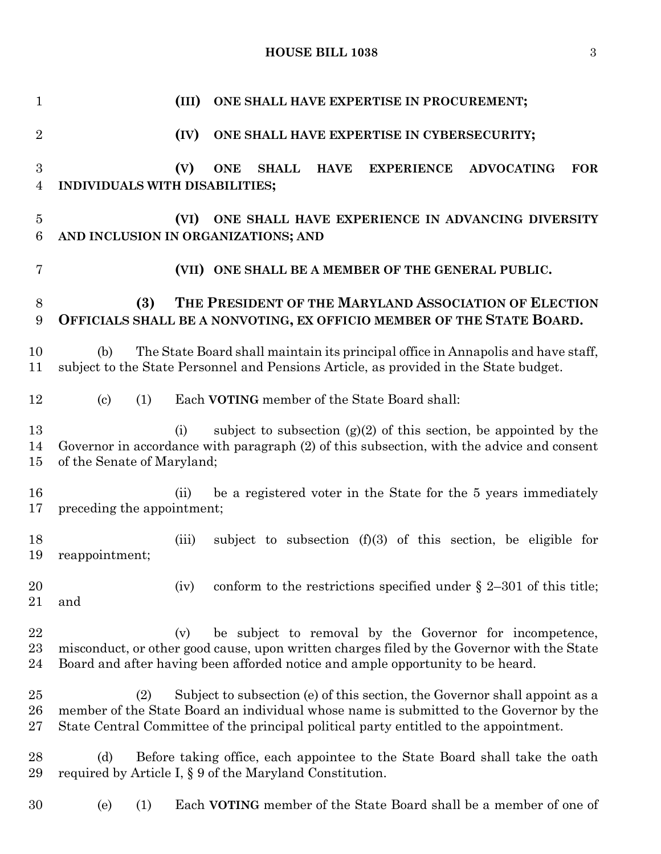### **HOUSE BILL 1038** 3

| $\mathbf{1}$                       | (III)<br>ONE SHALL HAVE EXPERTISE IN PROCUREMENT;                                                                                                                                                                                                                    |
|------------------------------------|----------------------------------------------------------------------------------------------------------------------------------------------------------------------------------------------------------------------------------------------------------------------|
| $\overline{2}$                     | (IV)<br>ONE SHALL HAVE EXPERTISE IN CYBERSECURITY;                                                                                                                                                                                                                   |
| 3<br>4                             | (V)<br><b>ONE</b><br><b>SHALL</b><br><b>HAVE</b><br><b>EXPERIENCE</b><br><b>ADVOCATING</b><br><b>FOR</b><br>INDIVIDUALS WITH DISABILITIES;                                                                                                                           |
| $\overline{5}$<br>$\boldsymbol{6}$ | (VI)<br>ONE SHALL HAVE EXPERIENCE IN ADVANCING DIVERSITY<br>AND INCLUSION IN ORGANIZATIONS; AND                                                                                                                                                                      |
| 7                                  | (VII) ONE SHALL BE A MEMBER OF THE GENERAL PUBLIC.                                                                                                                                                                                                                   |
| 8<br>9                             | THE PRESIDENT OF THE MARYLAND ASSOCIATION OF ELECTION<br>(3)<br>OFFICIALS SHALL BE A NONVOTING, EX OFFICIO MEMBER OF THE STATE BOARD.                                                                                                                                |
| 10<br>11                           | The State Board shall maintain its principal office in Annapolis and have staff,<br>(b)<br>subject to the State Personnel and Pensions Article, as provided in the State budget.                                                                                     |
| 12                                 | Each VOTING member of the State Board shall:<br>$\left( \text{c}\right)$<br>(1)                                                                                                                                                                                      |
| 13<br>14<br>15                     | subject to subsection $(g)(2)$ of this section, be appointed by the<br>(i)<br>Governor in accordance with paragraph (2) of this subsection, with the advice and consent<br>of the Senate of Maryland;                                                                |
| 16<br>17                           | be a registered voter in the State for the 5 years immediately<br>(ii)<br>preceding the appointment;                                                                                                                                                                 |
| 18<br>19                           | (iii)<br>subject to subsection $(f)(3)$ of this section, be eligible for<br>reappointment;                                                                                                                                                                           |
| 20<br>21                           | conform to the restrictions specified under $\S$ 2-301 of this title;<br>(iv)<br>and                                                                                                                                                                                 |
| 22<br>23<br>24                     | be subject to removal by the Governor for incompetence,<br>(v)<br>misconduct, or other good cause, upon written charges filed by the Governor with the State<br>Board and after having been afforded notice and ample opportunity to be heard.                       |
| 25<br>26<br>27                     | Subject to subsection (e) of this section, the Governor shall appoint as a<br>(2)<br>member of the State Board an individual whose name is submitted to the Governor by the<br>State Central Committee of the principal political party entitled to the appointment. |
| 28<br>29                           | (d)<br>Before taking office, each appointee to the State Board shall take the oath<br>required by Article I, $\S 9$ of the Maryland Constitution.                                                                                                                    |
| 30                                 | Each VOTING member of the State Board shall be a member of one of<br>(1)<br>(e)                                                                                                                                                                                      |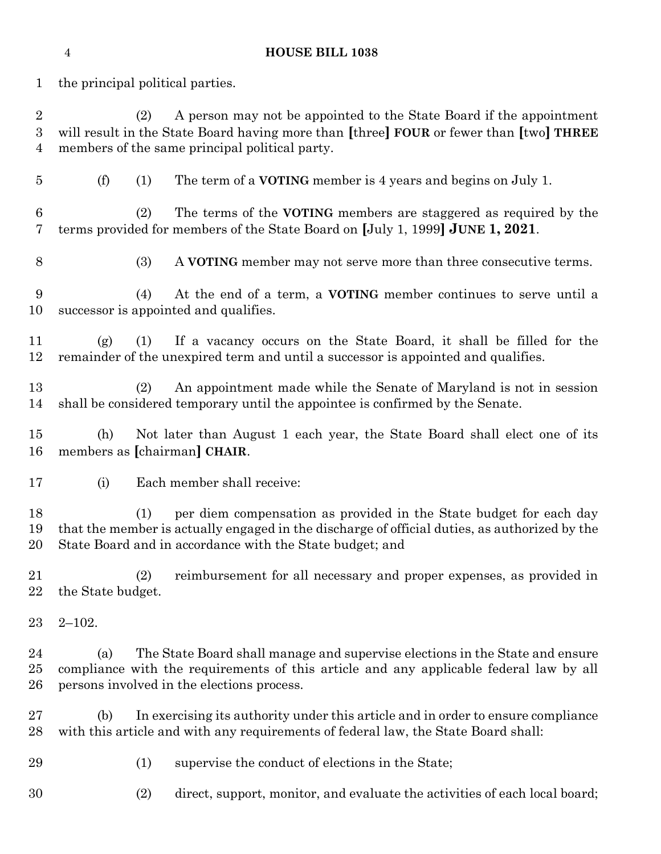the principal political parties.

 (2) A person may not be appointed to the State Board if the appointment will result in the State Board having more than **[**three**] FOUR** or fewer than **[**two**] THREE** members of the same principal political party.

(f) (1) The term of a **VOTING** member is 4 years and begins on July 1.

 (2) The terms of the **VOTING** members are staggered as required by the terms provided for members of the State Board on **[**July 1, 1999**] JUNE 1, 2021**.

(3) A **VOTING** member may not serve more than three consecutive terms.

 (4) At the end of a term, a **VOTING** member continues to serve until a successor is appointed and qualifies.

 (g) (1) If a vacancy occurs on the State Board, it shall be filled for the remainder of the unexpired term and until a successor is appointed and qualifies.

 (2) An appointment made while the Senate of Maryland is not in session shall be considered temporary until the appointee is confirmed by the Senate.

 (h) Not later than August 1 each year, the State Board shall elect one of its members as **[**chairman**] CHAIR**.

(i) Each member shall receive:

 (1) per diem compensation as provided in the State budget for each day that the member is actually engaged in the discharge of official duties, as authorized by the State Board and in accordance with the State budget; and

 (2) reimbursement for all necessary and proper expenses, as provided in the State budget.

2–102.

 (a) The State Board shall manage and supervise elections in the State and ensure compliance with the requirements of this article and any applicable federal law by all persons involved in the elections process.

 (b) In exercising its authority under this article and in order to ensure compliance with this article and with any requirements of federal law, the State Board shall:

- (1) supervise the conduct of elections in the State;
- (2) direct, support, monitor, and evaluate the activities of each local board;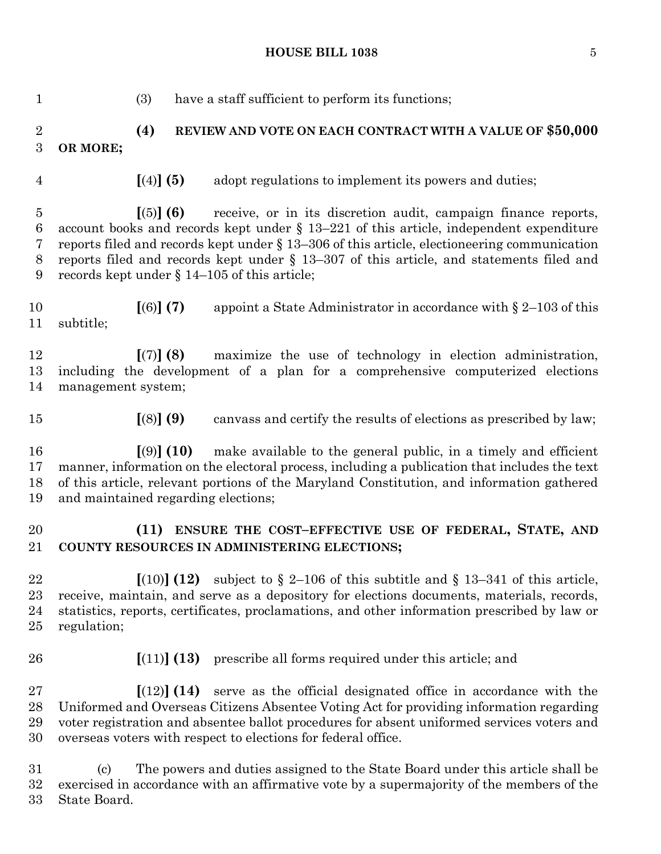### **HOUSE BILL 1038** 5

 (3) have a staff sufficient to perform its functions; **(4) REVIEW AND VOTE ON EACH CONTRACT WITH A VALUE OF \$50,000 OR MORE; [**(4)**] (5)** adopt regulations to implement its powers and duties; **[**(5)**] (6)** receive, or in its discretion audit, campaign finance reports, account books and records kept under § 13–221 of this article, independent expenditure reports filed and records kept under § 13–306 of this article, electioneering communication reports filed and records kept under § 13–307 of this article, and statements filed and records kept under § 14–105 of this article; **[**(6)**] (7)** appoint a State Administrator in accordance with § 2–103 of this subtitle; **[**(7)**] (8)** maximize the use of technology in election administration, including the development of a plan for a comprehensive computerized elections management system; **[**(8)**] (9)** canvass and certify the results of elections as prescribed by law; **[**(9)**] (10)** make available to the general public, in a timely and efficient manner, information on the electoral process, including a publication that includes the text of this article, relevant portions of the Maryland Constitution, and information gathered and maintained regarding elections; **(11) ENSURE THE COST–EFFECTIVE USE OF FEDERAL, STATE, AND COUNTY RESOURCES IN ADMINISTERING ELECTIONS;**  $\left[\text{(10)}\right]$  **(12)** subject to § 2–106 of this subtitle and § 13–341 of this article, receive, maintain, and serve as a depository for elections documents, materials, records, statistics, reports, certificates, proclamations, and other information prescribed by law or regulation; **[**(11)**] (13)** prescribe all forms required under this article; and **[**(12)**] (14)** serve as the official designated office in accordance with the Uniformed and Overseas Citizens Absentee Voting Act for providing information regarding voter registration and absentee ballot procedures for absent uniformed services voters and overseas voters with respect to elections for federal office. (c) The powers and duties assigned to the State Board under this article shall be exercised in accordance with an affirmative vote by a supermajority of the members of the State Board.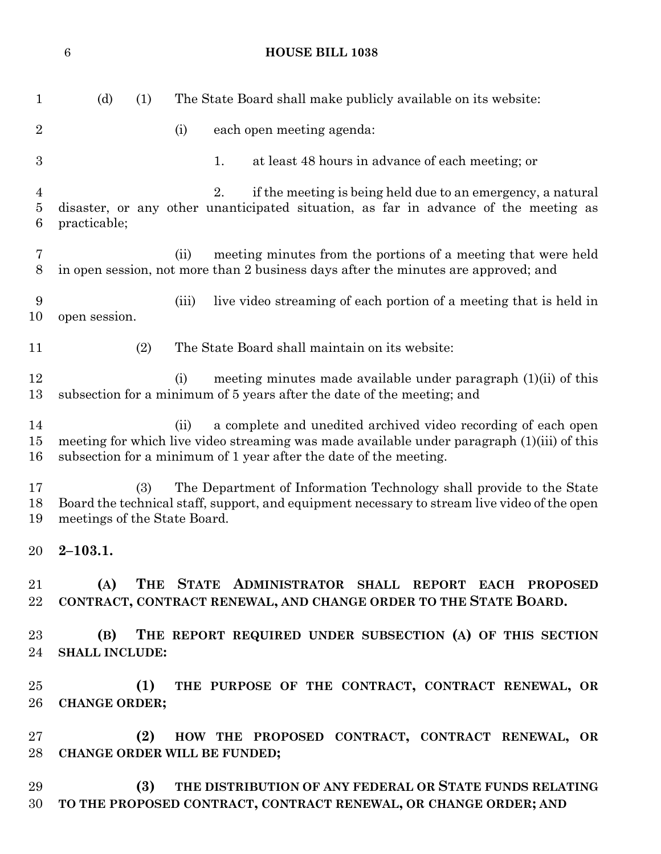(d) (1) The State Board shall make publicly available on its website: (i) each open meeting agenda: 1. at least 48 hours in advance of each meeting; or 2. if the meeting is being held due to an emergency, a natural disaster, or any other unanticipated situation, as far in advance of the meeting as practicable; (ii) meeting minutes from the portions of a meeting that were held in open session, not more than 2 business days after the minutes are approved; and (iii) live video streaming of each portion of a meeting that is held in open session. (2) The State Board shall maintain on its website: 12 (i) meeting minutes made available under paragraph (1)(ii) of this subsection for a minimum of 5 years after the date of the meeting; and (ii) a complete and unedited archived video recording of each open meeting for which live video streaming was made available under paragraph (1)(iii) of this subsection for a minimum of 1 year after the date of the meeting. (3) The Department of Information Technology shall provide to the State Board the technical staff, support, and equipment necessary to stream live video of the open meetings of the State Board. **2–103.1. (A) THE STATE ADMINISTRATOR SHALL REPORT EACH PROPOSED CONTRACT, CONTRACT RENEWAL, AND CHANGE ORDER TO THE STATE BOARD. (B) THE REPORT REQUIRED UNDER SUBSECTION (A) OF THIS SECTION SHALL INCLUDE: (1) THE PURPOSE OF THE CONTRACT, CONTRACT RENEWAL, OR CHANGE ORDER; (2) HOW THE PROPOSED CONTRACT, CONTRACT RENEWAL, OR CHANGE ORDER WILL BE FUNDED; (3) THE DISTRIBUTION OF ANY FEDERAL OR STATE FUNDS RELATING TO THE PROPOSED CONTRACT, CONTRACT RENEWAL, OR CHANGE ORDER; AND** 

**HOUSE BILL 1038**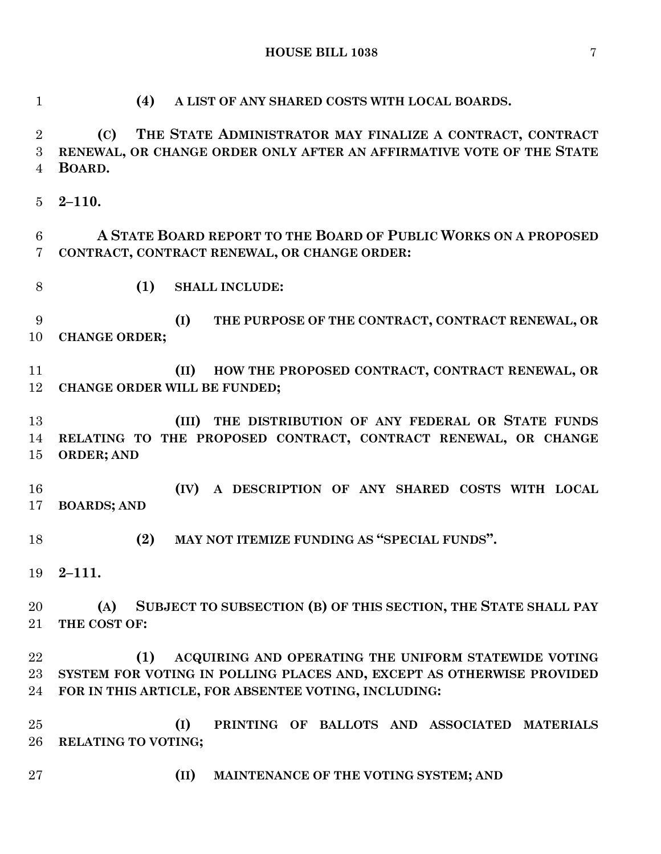**HOUSE BILL 1038** 7

**(4) A LIST OF ANY SHARED COSTS WITH LOCAL BOARDS.**

 **(C) THE STATE ADMINISTRATOR MAY FINALIZE A CONTRACT, CONTRACT RENEWAL, OR CHANGE ORDER ONLY AFTER AN AFFIRMATIVE VOTE OF THE STATE BOARD.**

**2–110.**

 **A STATE BOARD REPORT TO THE BOARD OF PUBLIC WORKS ON A PROPOSED CONTRACT, CONTRACT RENEWAL, OR CHANGE ORDER:**

**(1) SHALL INCLUDE:**

 **(I) THE PURPOSE OF THE CONTRACT, CONTRACT RENEWAL, OR CHANGE ORDER;**

 **(II) HOW THE PROPOSED CONTRACT, CONTRACT RENEWAL, OR CHANGE ORDER WILL BE FUNDED;**

 **(III) THE DISTRIBUTION OF ANY FEDERAL OR STATE FUNDS RELATING TO THE PROPOSED CONTRACT, CONTRACT RENEWAL, OR CHANGE ORDER; AND** 

 **(IV) A DESCRIPTION OF ANY SHARED COSTS WITH LOCAL BOARDS; AND**

**(2) MAY NOT ITEMIZE FUNDING AS "SPECIAL FUNDS".**

**2–111.**

 **(A) SUBJECT TO SUBSECTION (B) OF THIS SECTION, THE STATE SHALL PAY THE COST OF:**

 **(1) ACQUIRING AND OPERATING THE UNIFORM STATEWIDE VOTING SYSTEM FOR VOTING IN POLLING PLACES AND, EXCEPT AS OTHERWISE PROVIDED FOR IN THIS ARTICLE, FOR ABSENTEE VOTING, INCLUDING:**

 **(I) PRINTING OF BALLOTS AND ASSOCIATED MATERIALS RELATING TO VOTING;**

**(II) MAINTENANCE OF THE VOTING SYSTEM; AND**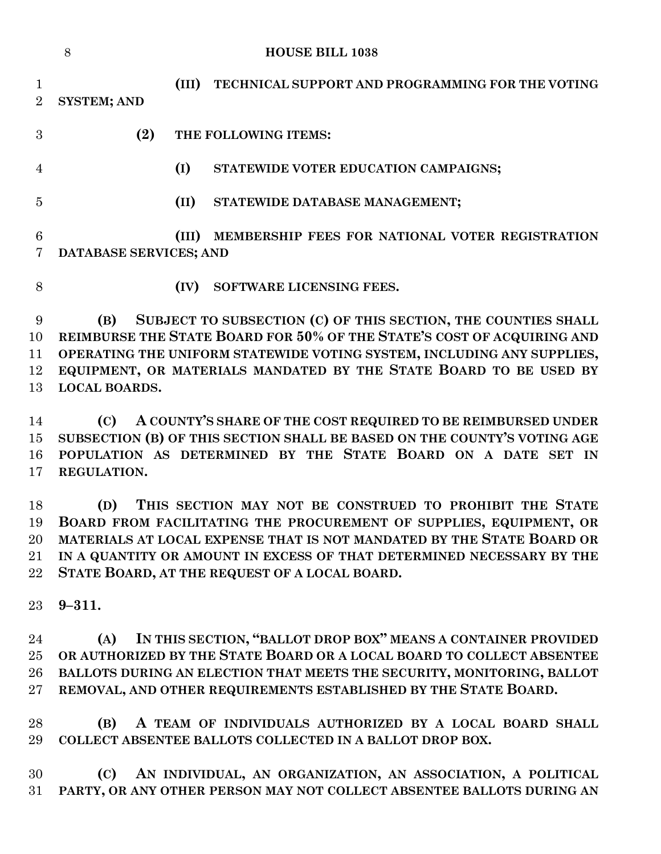|                                | 8<br><b>HOUSE BILL 1038</b>                                                                                                                                                                                                                                                                                           |                                                                                                                                                                                                                                                                                                                                  |  |  |
|--------------------------------|-----------------------------------------------------------------------------------------------------------------------------------------------------------------------------------------------------------------------------------------------------------------------------------------------------------------------|----------------------------------------------------------------------------------------------------------------------------------------------------------------------------------------------------------------------------------------------------------------------------------------------------------------------------------|--|--|
| $\mathbf{1}$<br>$\overline{2}$ | <b>SYSTEM; AND</b>                                                                                                                                                                                                                                                                                                    | (III)<br>TECHNICAL SUPPORT AND PROGRAMMING FOR THE VOTING                                                                                                                                                                                                                                                                        |  |  |
| 3                              | (2)                                                                                                                                                                                                                                                                                                                   | THE FOLLOWING ITEMS:                                                                                                                                                                                                                                                                                                             |  |  |
| $\overline{4}$                 | (I)                                                                                                                                                                                                                                                                                                                   | STATEWIDE VOTER EDUCATION CAMPAIGNS;                                                                                                                                                                                                                                                                                             |  |  |
| $\overline{5}$                 |                                                                                                                                                                                                                                                                                                                       | (II)<br>STATEWIDE DATABASE MANAGEMENT;                                                                                                                                                                                                                                                                                           |  |  |
| $6\phantom{.}6$<br>7           | DATABASE SERVICES; AND                                                                                                                                                                                                                                                                                                | MEMBERSHIP FEES FOR NATIONAL VOTER REGISTRATION<br>(III)                                                                                                                                                                                                                                                                         |  |  |
| 8                              |                                                                                                                                                                                                                                                                                                                       | SOFTWARE LICENSING FEES.<br>(IV)                                                                                                                                                                                                                                                                                                 |  |  |
| 9<br>10<br>11<br>12<br>13      | SUBJECT TO SUBSECTION (C) OF THIS SECTION, THE COUNTIES SHALL<br>(B)<br>REIMBURSE THE STATE BOARD FOR 50% OF THE STATE'S COST OF ACQUIRING AND<br>OPERATING THE UNIFORM STATEWIDE VOTING SYSTEM, INCLUDING ANY SUPPLIES,<br>EQUIPMENT, OR MATERIALS MANDATED BY THE STATE BOARD TO BE USED BY<br><b>LOCAL BOARDS.</b> |                                                                                                                                                                                                                                                                                                                                  |  |  |
| 14<br>15<br>16<br>17           | (C)<br>REGULATION.                                                                                                                                                                                                                                                                                                    | A COUNTY'S SHARE OF THE COST REQUIRED TO BE REIMBURSED UNDER<br>SUBSECTION (B) OF THIS SECTION SHALL BE BASED ON THE COUNTY'S VOTING AGE<br>POPULATION AS DETERMINED BY THE STATE BOARD ON A DATE SET IN                                                                                                                         |  |  |
| 18<br>19<br>20<br>21<br>22     | (D)                                                                                                                                                                                                                                                                                                                   | THIS SECTION MAY NOT BE CONSTRUED TO PROHIBIT THE STATE<br>BOARD FROM FACILITATING THE PROCUREMENT OF SUPPLIES, EQUIPMENT, OR<br>MATERIALS AT LOCAL EXPENSE THAT IS NOT MANDATED BY THE STATE BOARD OR<br>IN A QUANTITY OR AMOUNT IN EXCESS OF THAT DETERMINED NECESSARY BY THE<br>STATE BOARD, AT THE REQUEST OF A LOCAL BOARD. |  |  |
| $23\,$                         | $9 - 311.$                                                                                                                                                                                                                                                                                                            |                                                                                                                                                                                                                                                                                                                                  |  |  |
| 24<br>$25\,$<br>26<br>$27\,$   | (A)                                                                                                                                                                                                                                                                                                                   | IN THIS SECTION, "BALLOT DROP BOX" MEANS A CONTAINER PROVIDED<br>OR AUTHORIZED BY THE STATE BOARD OR A LOCAL BOARD TO COLLECT ABSENTEE<br>BALLOTS DURING AN ELECTION THAT MEETS THE SECURITY, MONITORING, BALLOT<br>REMOVAL, AND OTHER REQUIREMENTS ESTABLISHED BY THE STATE BOARD.                                              |  |  |
| 28<br>29                       | (B)                                                                                                                                                                                                                                                                                                                   | A TEAM OF INDIVIDUALS AUTHORIZED BY A LOCAL BOARD SHALL<br>COLLECT ABSENTEE BALLOTS COLLECTED IN A BALLOT DROP BOX.                                                                                                                                                                                                              |  |  |
| 30<br>$31\,$                   | (C)                                                                                                                                                                                                                                                                                                                   | AN INDIVIDUAL, AN ORGANIZATION, AN ASSOCIATION, A POLITICAL<br>PARTY, OR ANY OTHER PERSON MAY NOT COLLECT ABSENTEE BALLOTS DURING AN                                                                                                                                                                                             |  |  |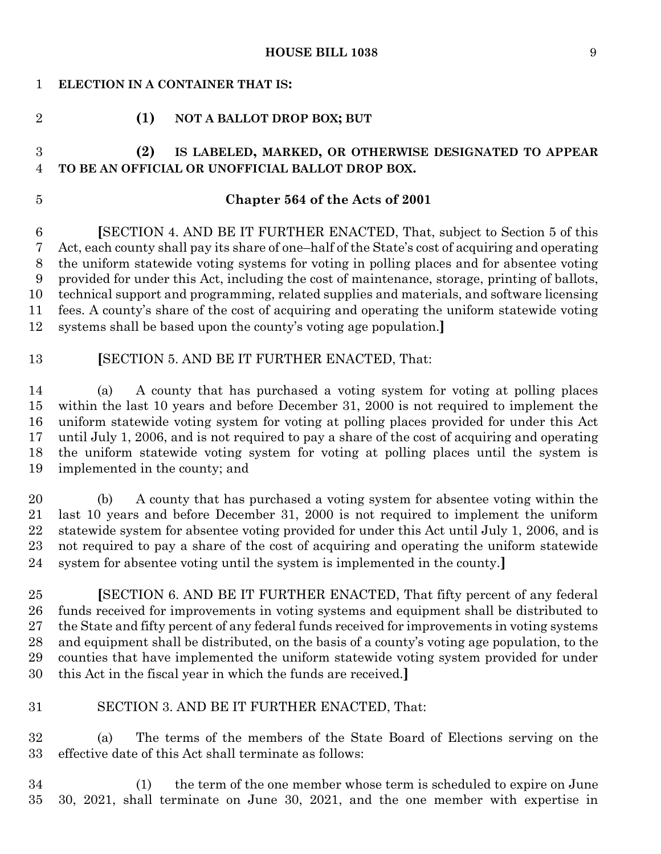# **ELECTION IN A CONTAINER THAT IS:**

### **(1) NOT A BALLOT DROP BOX; BUT**

## **(2) IS LABELED, MARKED, OR OTHERWISE DESIGNATED TO APPEAR TO BE AN OFFICIAL OR UNOFFICIAL BALLOT DROP BOX.**

### **Chapter 564 of the Acts of 2001**

 **[**SECTION 4. AND BE IT FURTHER ENACTED, That, subject to Section 5 of this Act, each county shall pay its share of one–half of the State's cost of acquiring and operating the uniform statewide voting systems for voting in polling places and for absentee voting provided for under this Act, including the cost of maintenance, storage, printing of ballots, technical support and programming, related supplies and materials, and software licensing fees. A county's share of the cost of acquiring and operating the uniform statewide voting systems shall be based upon the county's voting age population.**]**

### **[**SECTION 5. AND BE IT FURTHER ENACTED, That:

 (a) A county that has purchased a voting system for voting at polling places within the last 10 years and before December 31, 2000 is not required to implement the uniform statewide voting system for voting at polling places provided for under this Act until July 1, 2006, and is not required to pay a share of the cost of acquiring and operating the uniform statewide voting system for voting at polling places until the system is implemented in the county; and

 (b) A county that has purchased a voting system for absentee voting within the last 10 years and before December 31, 2000 is not required to implement the uniform statewide system for absentee voting provided for under this Act until July 1, 2006, and is not required to pay a share of the cost of acquiring and operating the uniform statewide system for absentee voting until the system is implemented in the county.**]**

 **[**SECTION 6. AND BE IT FURTHER ENACTED, That fifty percent of any federal funds received for improvements in voting systems and equipment shall be distributed to the State and fifty percent of any federal funds received for improvements in voting systems and equipment shall be distributed, on the basis of a county's voting age population, to the counties that have implemented the uniform statewide voting system provided for under this Act in the fiscal year in which the funds are received.**]**

### SECTION 3. AND BE IT FURTHER ENACTED, That:

 (a) The terms of the members of the State Board of Elections serving on the effective date of this Act shall terminate as follows:

 (1) the term of the one member whose term is scheduled to expire on June 30, 2021, shall terminate on June 30, 2021, and the one member with expertise in